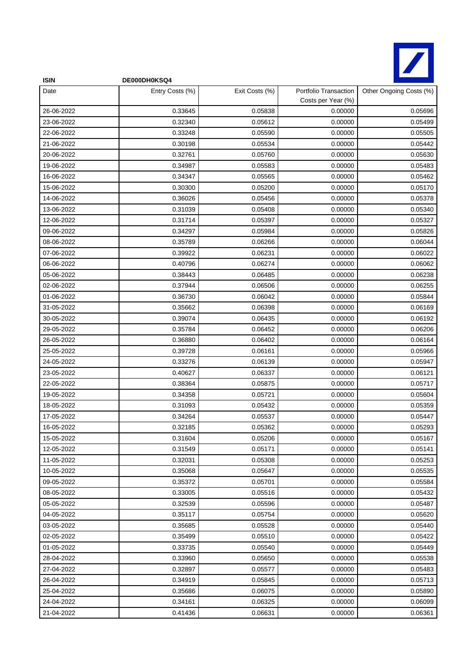

| <b>ISIN</b> | DE000DH0KSQ4    |                |                                             |                         |
|-------------|-----------------|----------------|---------------------------------------------|-------------------------|
| Date        | Entry Costs (%) | Exit Costs (%) | Portfolio Transaction<br>Costs per Year (%) | Other Ongoing Costs (%) |
| 26-06-2022  | 0.33645         | 0.05838        | 0.00000                                     | 0.05696                 |
| 23-06-2022  | 0.32340         | 0.05612        | 0.00000                                     | 0.05499                 |
| 22-06-2022  | 0.33248         | 0.05590        | 0.00000                                     | 0.05505                 |
| 21-06-2022  | 0.30198         | 0.05534        | 0.00000                                     | 0.05442                 |
| 20-06-2022  | 0.32761         | 0.05760        | 0.00000                                     | 0.05630                 |
| 19-06-2022  | 0.34987         | 0.05583        | 0.00000                                     | 0.05483                 |
| 16-06-2022  | 0.34347         | 0.05565        | 0.00000                                     | 0.05462                 |
| 15-06-2022  | 0.30300         | 0.05200        | 0.00000                                     | 0.05170                 |
| 14-06-2022  | 0.36026         | 0.05456        | 0.00000                                     | 0.05378                 |
| 13-06-2022  | 0.31039         | 0.05408        | 0.00000                                     | 0.05340                 |
| 12-06-2022  | 0.31714         | 0.05397        | 0.00000                                     | 0.05327                 |
| 09-06-2022  | 0.34297         | 0.05984        | 0.00000                                     | 0.05826                 |
| 08-06-2022  | 0.35789         | 0.06266        | 0.00000                                     | 0.06044                 |
| 07-06-2022  | 0.39922         | 0.06231        | 0.00000                                     | 0.06022                 |
| 06-06-2022  | 0.40796         | 0.06274        | 0.00000                                     | 0.06062                 |
| 05-06-2022  | 0.38443         | 0.06485        | 0.00000                                     | 0.06238                 |
| 02-06-2022  | 0.37944         | 0.06506        | 0.00000                                     | 0.06255                 |
| 01-06-2022  | 0.36730         | 0.06042        | 0.00000                                     | 0.05844                 |
| 31-05-2022  | 0.35662         | 0.06398        | 0.00000                                     | 0.06169                 |
| 30-05-2022  | 0.39074         | 0.06435        | 0.00000                                     | 0.06192                 |
| 29-05-2022  | 0.35784         | 0.06452        | 0.00000                                     | 0.06206                 |
| 26-05-2022  | 0.36880         | 0.06402        | 0.00000                                     | 0.06164                 |
| 25-05-2022  | 0.39728         | 0.06161        | 0.00000                                     | 0.05966                 |
| 24-05-2022  | 0.33276         | 0.06139        | 0.00000                                     | 0.05947                 |
| 23-05-2022  | 0.40627         | 0.06337        | 0.00000                                     | 0.06121                 |
| 22-05-2022  | 0.38364         | 0.05875        | 0.00000                                     | 0.05717                 |
| 19-05-2022  | 0.34358         | 0.05721        | 0.00000                                     | 0.05604                 |
| 18-05-2022  | 0.31093         | 0.05432        | 0.00000                                     | 0.05359                 |
| 17-05-2022  | 0.34264         | 0.05537        | 0.00000                                     | 0.05447                 |
| 16-05-2022  | 0.32185         | 0.05362        | 0.00000                                     | 0.05293                 |
| 15-05-2022  | 0.31604         | 0.05206        | 0.00000                                     | 0.05167                 |
| 12-05-2022  | 0.31549         | 0.05171        | 0.00000                                     | 0.05141                 |
| 11-05-2022  | 0.32031         | 0.05308        | 0.00000                                     | 0.05253                 |
| 10-05-2022  | 0.35068         | 0.05647        | 0.00000                                     | 0.05535                 |
| 09-05-2022  | 0.35372         | 0.05701        | 0.00000                                     | 0.05584                 |
| 08-05-2022  | 0.33005         | 0.05516        | 0.00000                                     | 0.05432                 |
| 05-05-2022  | 0.32539         | 0.05596        | 0.00000                                     | 0.05487                 |
| 04-05-2022  | 0.35117         | 0.05754        | 0.00000                                     | 0.05620                 |
| 03-05-2022  | 0.35685         | 0.05528        | 0.00000                                     | 0.05440                 |
| 02-05-2022  | 0.35499         | 0.05510        | 0.00000                                     | 0.05422                 |
| 01-05-2022  | 0.33735         | 0.05540        | 0.00000                                     | 0.05449                 |
| 28-04-2022  | 0.33960         | 0.05650        | 0.00000                                     | 0.05538                 |
| 27-04-2022  | 0.32897         | 0.05577        | 0.00000                                     | 0.05483                 |
| 26-04-2022  | 0.34919         | 0.05845        | 0.00000                                     | 0.05713                 |
| 25-04-2022  | 0.35686         | 0.06075        | 0.00000                                     | 0.05890                 |
| 24-04-2022  | 0.34161         | 0.06325        | 0.00000                                     | 0.06099                 |
| 21-04-2022  | 0.41436         | 0.06631        | 0.00000                                     | 0.06361                 |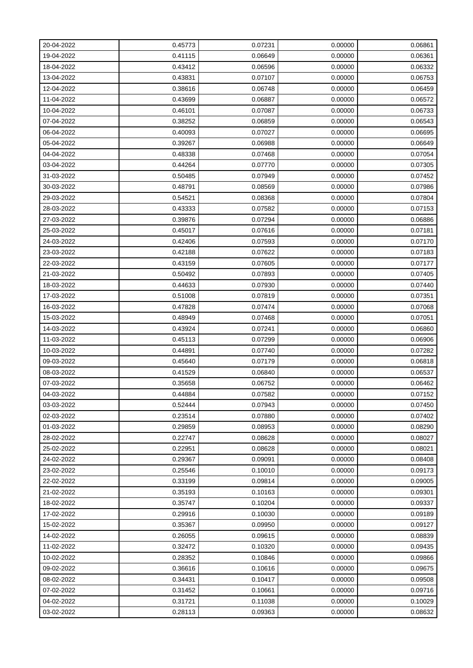| 20-04-2022 | 0.45773 | 0.07231 | 0.00000 | 0.06861 |
|------------|---------|---------|---------|---------|
| 19-04-2022 | 0.41115 | 0.06649 | 0.00000 | 0.06361 |
| 18-04-2022 | 0.43412 | 0.06596 | 0.00000 | 0.06332 |
| 13-04-2022 | 0.43831 | 0.07107 | 0.00000 | 0.06753 |
| 12-04-2022 | 0.38616 | 0.06748 | 0.00000 | 0.06459 |
| 11-04-2022 | 0.43699 | 0.06887 | 0.00000 | 0.06572 |
| 10-04-2022 | 0.46101 | 0.07087 | 0.00000 | 0.06733 |
| 07-04-2022 | 0.38252 | 0.06859 | 0.00000 | 0.06543 |
| 06-04-2022 | 0.40093 | 0.07027 | 0.00000 | 0.06695 |
| 05-04-2022 | 0.39267 | 0.06988 | 0.00000 | 0.06649 |
| 04-04-2022 | 0.48338 | 0.07468 | 0.00000 | 0.07054 |
| 03-04-2022 | 0.44264 | 0.07770 | 0.00000 | 0.07305 |
| 31-03-2022 | 0.50485 | 0.07949 | 0.00000 | 0.07452 |
| 30-03-2022 | 0.48791 | 0.08569 | 0.00000 | 0.07986 |
| 29-03-2022 | 0.54521 | 0.08368 | 0.00000 | 0.07804 |
| 28-03-2022 | 0.43333 | 0.07582 | 0.00000 | 0.07153 |
| 27-03-2022 | 0.39876 | 0.07294 | 0.00000 | 0.06886 |
| 25-03-2022 | 0.45017 | 0.07616 | 0.00000 | 0.07181 |
| 24-03-2022 | 0.42406 | 0.07593 | 0.00000 | 0.07170 |
| 23-03-2022 | 0.42188 | 0.07622 | 0.00000 | 0.07183 |
| 22-03-2022 | 0.43159 | 0.07605 | 0.00000 | 0.07177 |
| 21-03-2022 | 0.50492 | 0.07893 | 0.00000 | 0.07405 |
| 18-03-2022 | 0.44633 | 0.07930 | 0.00000 | 0.07440 |
| 17-03-2022 | 0.51008 | 0.07819 | 0.00000 | 0.07351 |
| 16-03-2022 | 0.47828 | 0.07474 | 0.00000 | 0.07068 |
| 15-03-2022 | 0.48949 | 0.07468 | 0.00000 | 0.07051 |
| 14-03-2022 | 0.43924 | 0.07241 | 0.00000 | 0.06860 |
| 11-03-2022 | 0.45113 | 0.07299 | 0.00000 | 0.06906 |
| 10-03-2022 | 0.44891 | 0.07740 | 0.00000 | 0.07282 |
| 09-03-2022 | 0.45640 | 0.07179 | 0.00000 | 0.06818 |
| 08-03-2022 | 0.41529 | 0.06840 | 0.00000 | 0.06537 |
| 07-03-2022 | 0.35658 | 0.06752 | 0.00000 | 0.06462 |
| 04-03-2022 | 0.44884 | 0.07582 | 0.00000 | 0.07152 |
| 03-03-2022 | 0.52444 | 0.07943 | 0.00000 | 0.07450 |
| 02-03-2022 | 0.23514 | 0.07880 | 0.00000 | 0.07402 |
| 01-03-2022 | 0.29859 | 0.08953 | 0.00000 | 0.08290 |
| 28-02-2022 | 0.22747 | 0.08628 | 0.00000 | 0.08027 |
| 25-02-2022 | 0.22951 | 0.08628 | 0.00000 | 0.08021 |
| 24-02-2022 | 0.29367 | 0.09091 | 0.00000 | 0.08408 |
| 23-02-2022 | 0.25546 | 0.10010 | 0.00000 | 0.09173 |
| 22-02-2022 | 0.33199 | 0.09814 | 0.00000 | 0.09005 |
| 21-02-2022 | 0.35193 | 0.10163 | 0.00000 | 0.09301 |
| 18-02-2022 | 0.35747 | 0.10204 | 0.00000 | 0.09337 |
| 17-02-2022 | 0.29916 | 0.10030 | 0.00000 | 0.09189 |
| 15-02-2022 | 0.35367 | 0.09950 | 0.00000 | 0.09127 |
| 14-02-2022 | 0.26055 | 0.09615 | 0.00000 | 0.08839 |
| 11-02-2022 | 0.32472 | 0.10320 | 0.00000 | 0.09435 |
| 10-02-2022 | 0.28352 | 0.10846 | 0.00000 | 0.09866 |
| 09-02-2022 | 0.36616 | 0.10616 | 0.00000 | 0.09675 |
| 08-02-2022 | 0.34431 | 0.10417 | 0.00000 | 0.09508 |
| 07-02-2022 | 0.31452 | 0.10661 | 0.00000 | 0.09716 |
| 04-02-2022 | 0.31721 | 0.11038 | 0.00000 | 0.10029 |
| 03-02-2022 | 0.28113 | 0.09363 | 0.00000 | 0.08632 |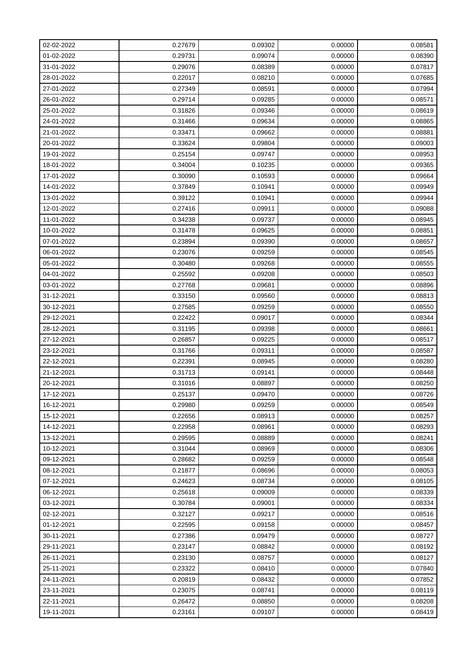| 02-02-2022 | 0.27679 | 0.09302 | 0.00000 | 0.08581 |
|------------|---------|---------|---------|---------|
| 01-02-2022 | 0.29731 | 0.09074 | 0.00000 | 0.08390 |
| 31-01-2022 | 0.29076 | 0.08389 | 0.00000 | 0.07817 |
| 28-01-2022 | 0.22017 | 0.08210 | 0.00000 | 0.07685 |
| 27-01-2022 | 0.27349 | 0.08591 | 0.00000 | 0.07994 |
| 26-01-2022 | 0.29714 | 0.09285 | 0.00000 | 0.08571 |
| 25-01-2022 | 0.31826 | 0.09346 | 0.00000 | 0.08619 |
| 24-01-2022 | 0.31466 | 0.09634 | 0.00000 | 0.08865 |
| 21-01-2022 | 0.33471 | 0.09662 | 0.00000 | 0.08881 |
| 20-01-2022 | 0.33624 | 0.09804 | 0.00000 | 0.09003 |
| 19-01-2022 | 0.25154 | 0.09747 | 0.00000 | 0.08953 |
| 18-01-2022 | 0.34004 | 0.10235 | 0.00000 | 0.09365 |
| 17-01-2022 | 0.30090 | 0.10593 | 0.00000 | 0.09664 |
| 14-01-2022 | 0.37849 | 0.10941 | 0.00000 | 0.09949 |
| 13-01-2022 | 0.39122 | 0.10941 | 0.00000 | 0.09944 |
| 12-01-2022 | 0.27416 | 0.09911 | 0.00000 | 0.09088 |
| 11-01-2022 | 0.34238 | 0.09737 | 0.00000 | 0.08945 |
| 10-01-2022 | 0.31478 | 0.09625 | 0.00000 | 0.08851 |
| 07-01-2022 | 0.23894 | 0.09390 | 0.00000 | 0.08657 |
| 06-01-2022 | 0.23076 | 0.09259 | 0.00000 | 0.08545 |
| 05-01-2022 | 0.30480 | 0.09268 | 0.00000 | 0.08555 |
| 04-01-2022 | 0.25592 | 0.09208 | 0.00000 | 0.08503 |
| 03-01-2022 | 0.27768 | 0.09681 | 0.00000 | 0.08896 |
| 31-12-2021 | 0.33150 | 0.09560 | 0.00000 | 0.08813 |
| 30-12-2021 | 0.27585 | 0.09259 | 0.00000 | 0.08550 |
| 29-12-2021 | 0.22422 | 0.09017 | 0.00000 | 0.08344 |
| 28-12-2021 | 0.31195 | 0.09398 | 0.00000 | 0.08661 |
| 27-12-2021 | 0.26857 | 0.09225 | 0.00000 | 0.08517 |
| 23-12-2021 | 0.31766 | 0.09311 | 0.00000 | 0.08587 |
| 22-12-2021 | 0.22391 | 0.08945 | 0.00000 | 0.08280 |
| 21-12-2021 | 0.31713 | 0.09141 | 0.00000 | 0.08448 |
| 20-12-2021 | 0.31016 | 0.08897 | 0.00000 | 0.08250 |
| 17-12-2021 | 0.25137 | 0.09470 | 0.00000 | 0.08726 |
| 16-12-2021 | 0.29980 | 0.09259 | 0.00000 | 0.08549 |
| 15-12-2021 | 0.22656 | 0.08913 | 0.00000 | 0.08257 |
| 14-12-2021 | 0.22958 | 0.08961 | 0.00000 | 0.08293 |
| 13-12-2021 | 0.29595 | 0.08889 | 0.00000 | 0.08241 |
| 10-12-2021 | 0.31044 | 0.08969 | 0.00000 | 0.08306 |
| 09-12-2021 | 0.28682 | 0.09259 | 0.00000 | 0.08548 |
| 08-12-2021 | 0.21877 | 0.08696 | 0.00000 | 0.08053 |
| 07-12-2021 | 0.24623 | 0.08734 | 0.00000 | 0.08105 |
| 06-12-2021 | 0.25618 | 0.09009 | 0.00000 | 0.08339 |
| 03-12-2021 | 0.30784 | 0.09001 | 0.00000 | 0.08334 |
| 02-12-2021 | 0.32127 | 0.09217 | 0.00000 | 0.08516 |
| 01-12-2021 | 0.22595 | 0.09158 | 0.00000 | 0.08457 |
| 30-11-2021 | 0.27386 | 0.09479 | 0.00000 | 0.08727 |
| 29-11-2021 | 0.23147 | 0.08842 | 0.00000 | 0.08192 |
| 26-11-2021 | 0.23130 | 0.08757 | 0.00000 | 0.08127 |
| 25-11-2021 | 0.23322 | 0.08410 | 0.00000 | 0.07840 |
| 24-11-2021 | 0.20819 | 0.08432 | 0.00000 | 0.07852 |
| 23-11-2021 | 0.23075 | 0.08741 | 0.00000 | 0.08119 |
| 22-11-2021 | 0.26472 | 0.08850 | 0.00000 | 0.08208 |
| 19-11-2021 | 0.23161 | 0.09107 | 0.00000 | 0.08419 |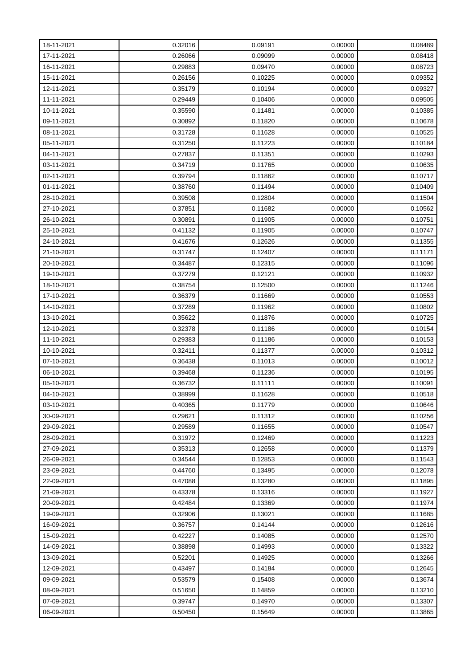| 18-11-2021 | 0.32016 | 0.09191 | 0.00000 | 0.08489 |
|------------|---------|---------|---------|---------|
| 17-11-2021 | 0.26066 | 0.09099 | 0.00000 | 0.08418 |
| 16-11-2021 | 0.29883 | 0.09470 | 0.00000 | 0.08723 |
| 15-11-2021 | 0.26156 | 0.10225 | 0.00000 | 0.09352 |
| 12-11-2021 | 0.35179 | 0.10194 | 0.00000 | 0.09327 |
| 11-11-2021 | 0.29449 | 0.10406 | 0.00000 | 0.09505 |
| 10-11-2021 | 0.35590 | 0.11481 | 0.00000 | 0.10385 |
| 09-11-2021 | 0.30892 | 0.11820 | 0.00000 | 0.10678 |
| 08-11-2021 | 0.31728 | 0.11628 | 0.00000 | 0.10525 |
| 05-11-2021 | 0.31250 | 0.11223 | 0.00000 | 0.10184 |
| 04-11-2021 | 0.27837 | 0.11351 | 0.00000 | 0.10293 |
| 03-11-2021 | 0.34719 | 0.11765 | 0.00000 | 0.10635 |
| 02-11-2021 | 0.39794 | 0.11862 | 0.00000 | 0.10717 |
| 01-11-2021 | 0.38760 | 0.11494 | 0.00000 | 0.10409 |
| 28-10-2021 | 0.39508 | 0.12804 | 0.00000 | 0.11504 |
| 27-10-2021 | 0.37851 | 0.11682 | 0.00000 | 0.10562 |
| 26-10-2021 | 0.30891 | 0.11905 | 0.00000 | 0.10751 |
| 25-10-2021 | 0.41132 | 0.11905 | 0.00000 | 0.10747 |
| 24-10-2021 | 0.41676 | 0.12626 | 0.00000 | 0.11355 |
| 21-10-2021 | 0.31747 | 0.12407 | 0.00000 | 0.11171 |
| 20-10-2021 | 0.34487 | 0.12315 | 0.00000 | 0.11096 |
| 19-10-2021 | 0.37279 | 0.12121 | 0.00000 | 0.10932 |
| 18-10-2021 | 0.38754 | 0.12500 | 0.00000 | 0.11246 |
| 17-10-2021 | 0.36379 | 0.11669 | 0.00000 | 0.10553 |
| 14-10-2021 | 0.37289 | 0.11962 | 0.00000 | 0.10802 |
| 13-10-2021 | 0.35622 | 0.11876 | 0.00000 | 0.10725 |
| 12-10-2021 | 0.32378 | 0.11186 | 0.00000 | 0.10154 |
| 11-10-2021 | 0.29383 | 0.11186 | 0.00000 | 0.10153 |
| 10-10-2021 | 0.32411 | 0.11377 | 0.00000 | 0.10312 |
| 07-10-2021 | 0.36438 | 0.11013 | 0.00000 | 0.10012 |
| 06-10-2021 | 0.39468 | 0.11236 | 0.00000 | 0.10195 |
| 05-10-2021 | 0.36732 | 0.11111 | 0.00000 | 0.10091 |
| 04-10-2021 | 0.38999 | 0.11628 | 0.00000 | 0.10518 |
| 03-10-2021 | 0.40365 | 0.11779 | 0.00000 | 0.10646 |
| 30-09-2021 | 0.29621 | 0.11312 | 0.00000 | 0.10256 |
| 29-09-2021 | 0.29589 | 0.11655 | 0.00000 | 0.10547 |
| 28-09-2021 | 0.31972 | 0.12469 | 0.00000 | 0.11223 |
| 27-09-2021 | 0.35313 | 0.12658 | 0.00000 | 0.11379 |
| 26-09-2021 | 0.34544 | 0.12853 | 0.00000 | 0.11543 |
| 23-09-2021 | 0.44760 | 0.13495 | 0.00000 | 0.12078 |
| 22-09-2021 | 0.47088 | 0.13280 | 0.00000 | 0.11895 |
| 21-09-2021 | 0.43378 | 0.13316 | 0.00000 | 0.11927 |
| 20-09-2021 | 0.42484 | 0.13369 | 0.00000 | 0.11974 |
| 19-09-2021 | 0.32906 | 0.13021 | 0.00000 | 0.11685 |
| 16-09-2021 | 0.36757 | 0.14144 | 0.00000 | 0.12616 |
| 15-09-2021 | 0.42227 | 0.14085 | 0.00000 | 0.12570 |
| 14-09-2021 | 0.38898 | 0.14993 | 0.00000 | 0.13322 |
| 13-09-2021 | 0.52201 | 0.14925 | 0.00000 | 0.13266 |
| 12-09-2021 | 0.43497 | 0.14184 | 0.00000 | 0.12645 |
| 09-09-2021 | 0.53579 | 0.15408 | 0.00000 | 0.13674 |
| 08-09-2021 | 0.51650 | 0.14859 | 0.00000 | 0.13210 |
| 07-09-2021 | 0.39747 | 0.14970 | 0.00000 | 0.13307 |
| 06-09-2021 | 0.50450 | 0.15649 | 0.00000 | 0.13865 |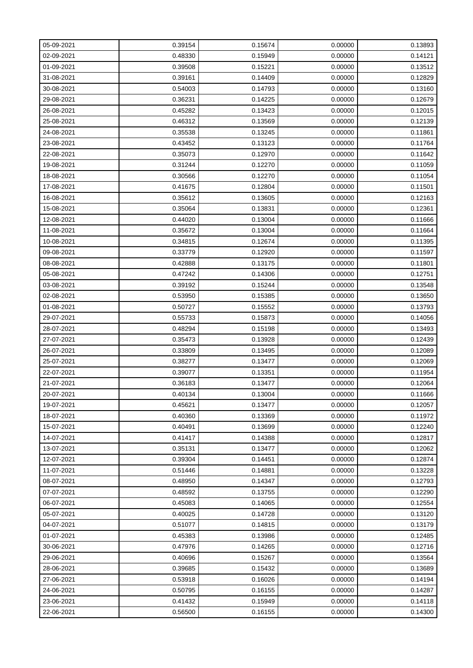| 05-09-2021 | 0.39154 | 0.15674 | 0.00000 | 0.13893 |
|------------|---------|---------|---------|---------|
| 02-09-2021 | 0.48330 | 0.15949 | 0.00000 | 0.14121 |
| 01-09-2021 | 0.39508 | 0.15221 | 0.00000 | 0.13512 |
| 31-08-2021 | 0.39161 | 0.14409 | 0.00000 | 0.12829 |
| 30-08-2021 | 0.54003 | 0.14793 | 0.00000 | 0.13160 |
| 29-08-2021 | 0.36231 | 0.14225 | 0.00000 | 0.12679 |
| 26-08-2021 | 0.45282 | 0.13423 | 0.00000 | 0.12015 |
| 25-08-2021 | 0.46312 | 0.13569 | 0.00000 | 0.12139 |
| 24-08-2021 | 0.35538 | 0.13245 | 0.00000 | 0.11861 |
| 23-08-2021 | 0.43452 | 0.13123 | 0.00000 | 0.11764 |
| 22-08-2021 | 0.35073 | 0.12970 | 0.00000 | 0.11642 |
| 19-08-2021 | 0.31244 | 0.12270 | 0.00000 | 0.11059 |
| 18-08-2021 | 0.30566 | 0.12270 | 0.00000 | 0.11054 |
| 17-08-2021 | 0.41675 | 0.12804 | 0.00000 | 0.11501 |
| 16-08-2021 | 0.35612 | 0.13605 | 0.00000 | 0.12163 |
| 15-08-2021 | 0.35064 | 0.13831 | 0.00000 | 0.12361 |
| 12-08-2021 | 0.44020 | 0.13004 | 0.00000 | 0.11666 |
| 11-08-2021 | 0.35672 | 0.13004 | 0.00000 | 0.11664 |
| 10-08-2021 | 0.34815 | 0.12674 | 0.00000 | 0.11395 |
| 09-08-2021 | 0.33779 | 0.12920 | 0.00000 | 0.11597 |
| 08-08-2021 | 0.42888 | 0.13175 | 0.00000 | 0.11801 |
| 05-08-2021 | 0.47242 | 0.14306 | 0.00000 | 0.12751 |
| 03-08-2021 | 0.39192 | 0.15244 | 0.00000 | 0.13548 |
| 02-08-2021 | 0.53950 | 0.15385 | 0.00000 | 0.13650 |
| 01-08-2021 | 0.50727 | 0.15552 | 0.00000 | 0.13793 |
| 29-07-2021 | 0.55733 | 0.15873 | 0.00000 | 0.14056 |
| 28-07-2021 | 0.48294 | 0.15198 | 0.00000 | 0.13493 |
| 27-07-2021 | 0.35473 | 0.13928 | 0.00000 | 0.12439 |
| 26-07-2021 | 0.33809 | 0.13495 | 0.00000 | 0.12089 |
| 25-07-2021 | 0.38277 | 0.13477 | 0.00000 | 0.12069 |
| 22-07-2021 | 0.39077 | 0.13351 | 0.00000 | 0.11954 |
| 21-07-2021 | 0.36183 | 0.13477 | 0.00000 | 0.12064 |
| 20-07-2021 | 0.40134 | 0.13004 | 0.00000 | 0.11666 |
| 19-07-2021 | 0.45621 | 0.13477 | 0.00000 | 0.12057 |
| 18-07-2021 | 0.40360 | 0.13369 | 0.00000 | 0.11972 |
| 15-07-2021 | 0.40491 | 0.13699 | 0.00000 | 0.12240 |
| 14-07-2021 | 0.41417 | 0.14388 | 0.00000 | 0.12817 |
| 13-07-2021 | 0.35131 | 0.13477 | 0.00000 | 0.12062 |
| 12-07-2021 | 0.39304 | 0.14451 | 0.00000 | 0.12874 |
| 11-07-2021 | 0.51446 | 0.14881 | 0.00000 | 0.13228 |
| 08-07-2021 | 0.48950 | 0.14347 | 0.00000 | 0.12793 |
| 07-07-2021 | 0.48592 | 0.13755 | 0.00000 | 0.12290 |
| 06-07-2021 | 0.45083 | 0.14065 | 0.00000 | 0.12554 |
| 05-07-2021 | 0.40025 | 0.14728 | 0.00000 | 0.13120 |
| 04-07-2021 | 0.51077 | 0.14815 | 0.00000 | 0.13179 |
| 01-07-2021 | 0.45383 | 0.13986 | 0.00000 | 0.12485 |
| 30-06-2021 | 0.47976 | 0.14265 | 0.00000 | 0.12716 |
| 29-06-2021 | 0.40696 | 0.15267 | 0.00000 | 0.13564 |
| 28-06-2021 | 0.39685 | 0.15432 | 0.00000 | 0.13689 |
| 27-06-2021 | 0.53918 | 0.16026 | 0.00000 | 0.14194 |
| 24-06-2021 | 0.50795 | 0.16155 | 0.00000 | 0.14287 |
| 23-06-2021 | 0.41432 | 0.15949 | 0.00000 | 0.14118 |
| 22-06-2021 | 0.56500 | 0.16155 | 0.00000 | 0.14300 |